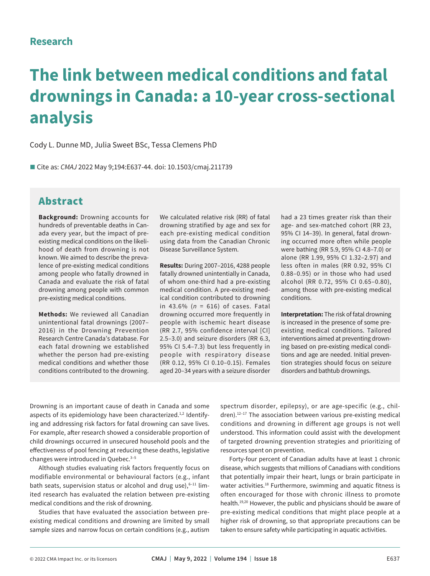# **Research**

# **The link between medical conditions and fatal drownings in Canada: a 10-year cross-sectional analysis**

Cody L. Dunne MD, Julia Sweet BSc, Tessa Clemens PhD

■ Cite as: *CMAJ* 2022 May 9:194:E637-44. doi: 10.1503/cmaj.211739

# Abstract

**Background:** Drowning accounts for hundreds of preventable deaths in Canada every year, but the impact of preexisting medical conditions on the likelihood of death from drowning is not known. We aimed to describe the prevalence of pre-existing medical conditions among people who fatally drowned in Canada and evaluate the risk of fatal drowning among people with common pre-existing medical conditions.

**Methods:** We reviewed all Canadian unintentional fatal drownings (2007– 2016) in the Drowning Prevention Research Centre Canada's database. For each fatal drowning we established whether the person had pre-existing medical conditions and whether those conditions contributed to the drowning.

We calculated relative risk (RR) of fatal drowning stratified by age and sex for each pre-existing medical condition using data from the Canadian Chronic Disease Surveillance System.

**Results:** During 2007–2016, 4288 people fatally drowned unintentially in Canada, of whom one-third had a pre-existing medical condition. A pre-existing medical condition contributed to drowning in 43.6% (*n* = 616) of cases. Fatal drowning occurred more frequently in people with ischemic heart disease (RR 2.7, 95% confidence interval [CI] 2.5–3.0) and seizure disorders (RR 6.3, 95% CI 5.4–7.3) but less frequently in people with respiratory disease (RR 0.12, 95% CI 0.10–0.15). Females aged 20–34 years with a seizure disorder had a 23 times greater risk than their age- and sex-matched cohort (RR 23, 95% CI 14–39). In general, fatal drowning occurred more often while people were bathing (RR 5.9, 95% CI 4.8–7.0) or alone (RR 1.99, 95% CI 1.32–2.97) and less often in males (RR 0.92, 95% CI 0.88–0.95) or in those who had used alcohol (RR 0.72, 95% CI 0.65–0.80), among those with pre-existing medical conditions.

**Interpretation:** The risk of fatal drowning is increased in the presence of some preexisting medical conditions. Tailored interventions aimed at preventing drowning based on pre-existing medical conditions and age are needed. Initial prevention strategies should focus on seizure disorders and bathtub drownings.

Drowning is an important cause of death in Canada and some aspects of its epidemiology have been characterized.<sup>1,2</sup> Identifying and addressing risk factors for fatal drowning can save lives. For example, after research showed a considerable proportion of child drownings occurred in unsecured household pools and the effectiveness of pool fencing at reducing these deaths, legislative changes were introduced in Quebec.<sup>3-5</sup>

Although studies evaluating risk factors frequently focus on modifiable environmental or behavioural factors (e.g., infant bath seats, supervision status or alcohol and drug use), $6-11$  limited research has evaluated the relation between pre-existing medical conditions and the risk of drowning.

Studies that have evaluated the association between preexisting medical conditions and drowning are limited by small sample sizes and narrow focus on certain conditions (e.g., autism

spectrum disorder, epilepsy), or are age-specific (e.g., chil $dren$ ).<sup>12–17</sup> The association between various pre-existing medical conditions and drowning in different age groups is not well understood. This information could assist with the development of targeted drowning prevention strategies and prioritizing of resources spent on prevention.

Forty-four percent of Canadian adults have at least 1 chronic disease, which suggests that millions of Canadians with conditions that potentially impair their heart, lungs or brain participate in water activities.<sup>18</sup> Furthermore, swimming and aquatic fitness is often encouraged for those with chronic illness to promote health.<sup>19,20</sup> However, the public and physicians should be aware of pre-existing medical conditions that might place people at a higher risk of drowning, so that appropriate precautions can be taken to ensure safety while participating in aquatic activities.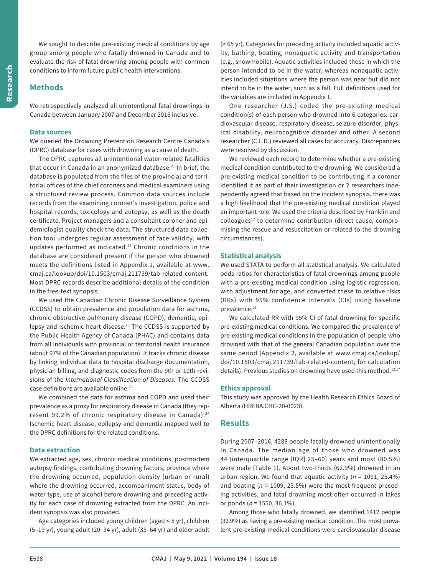We sought to describe pre-existing medical conditions by age group among people who fatally drowned in Canada and to evaluate the risk of fatal drowning among people with common conditions to inform future public health interventions.

## **Methods**

We retrospectively analyzed all unintentional fatal drownings in Canada between January 2007 and December 2016 inclusive.

#### **Data sources**

We queried the Drowning Prevention Research Centre Canada's (DPRC) database for cases with drowning as a cause of death.

The DPRC captures all unintentional water-related fatalities that occur in Canada in an anonymized database.<sup>21</sup> In brief, the database is populated from the files of the provincial and territorial offices of the chief coroners and medical examiners using a structured review process. Common data sources include records from the examining coroner's investigation, police and hospital records, toxicology and autopsy, as well as the death certificate. Project managers and a consultant coroner and epidemiologist quality check the data. The structured data collection tool undergoes regular assessment of face validity, with updates performed as indicated.<sup>22</sup> Chronic conditions in the database are considered present if the person who drowned meets the definitions listed in Appendix 1, available at www. cmaj.ca/lookup/doi/10.1503/cmaj.211739/tab-related-content. Most DPRC records describe additional details of the condition in the free-text synopsis.

We used the Canadian Chronic Disease Surveillance System (CCDSS) to obtain prevalence and population data for asthma, chronic obstructive pulmonary disease (COPD), dementia, epilepsy and ischemic heart disease.<sup>23</sup> The CCDSS is supported by the Public Health Agency of Canada (PHAC) and contains data from all individuals with provincial or territorial health insurance (about 97% of the Canadian population). It tracks chronic disease by linking individual data to hospital discharge documentation, physician billing, and diagnostic codes from the 9th or 10th revisions of the *International Classification of Diseases*. The CCDSS case definitions are available online.23

We combined the data for asthma and COPD and used their prevalence as a proxy for respiratory disease in Canada (they represent 99.2% of chronic respiratory disease in Canada).<sup>24</sup> Ischemic heart disease, epilepsy and dementia mapped well to the DPRC definitions for the related conditions.

#### **Data extraction**

We extracted age, sex, chronic medical conditions, postmortem autopsy findings, contributing drowning factors, province where the drowning occurred, population density (urban or rural) where the drowning occurred, accompaniment status, body of water type, use of alcohol before drowning and preceding activity for each case of drowning extracted from the DPRC. An incident synopsis was also provided.

Age categories included young children (aged < 5 yr), children (5–19 yr), young adult (20–34 yr), adult (35–64 yr) and older adult

(≥ 65 yr). Categories for preceding activity included aquatic activity, bathing, boating, nonaquatic activity and transportation (e.g., snowmobile). Aquatic activities included those in which the person intended to be in the water, whereas nonaquatic activities included situations where the person was near but did not intend to be in the water, such as a fall. Full definitions used for the variables are included in Appendix 1.

One researcher (J.S.) coded the pre-existing medical condition(s) of each person who drowned into 6 categories: cardiovascular disease, respiratory disease, seizure disorder, physical disability, neurocognitive disorder and other. A second researcher (C.L.D.) reviewed all cases for accuracy. Discrepancies were resolved by discussion.

We reviewed each record to determine whether a pre-existing medical condition contributed to the drowning. We considered a pre-existing medical condition to be contributing if a coroner identified it as part of their investigation or 2 researchers independently agreed that based on the incident synopsis, there was a high likelihood that the pre-existing medical condition played an important role. We used the criteria described by Franklin and colleagues<sup>12</sup> to determine contribution (direct cause, compromising the rescue and resuscitation or related to the drowning circumstances).

#### **Statistical analysis**

We used STATA to perform all statistical analysis. We calculated odds ratios for characteristics of fatal drownings among people with a pre-existing medical condition using logistic regression, with adjustment for age, and converted these to relative risks (RRs) with 95% confidence intervals (CIs) using baseline prevalence.<sup>25</sup>

We calculated RR with 95% CI of fatal drowning for specific pre-existing medical conditions. We compared the prevalence of pre-existing medical conditions in the population of people who drowned with that of the general Canadian population over the same period (Appendix 2, available at www.cmaj.ca/lookup/ doi/10.1503/cmaj.211739/tab-related-content, for calculation details). Previous studies on drowning have used this method.<sup>12,17</sup>

#### **Ethics approval**

This study was approved by the Health Research Ethics Board of Alberta (HREBA.CHC-20-0023).

## **Results**

During 2007–2016, 4288 people fatally drowned unintentionally in Canada. The median age of those who drowned was 44 (interquartile range [IQR] 25–60) years and most (80.5%) were male (Table 1). About two-thirds (62.9%) drowned in an urban region. We found that aquatic activity (*n* = 1091, 25.4%) and boating (*n* = 1009, 23.5%) were the most frequent preceding activities, and fatal drowning most often occurred in lakes or ponds (*n* = 1550, 36.1%).

Among those who fatally drowned, we identified 1412 people (32.9%) as having a pre-existing medical condition. The most prevalent pre-existing medical conditions were cardiovascular disease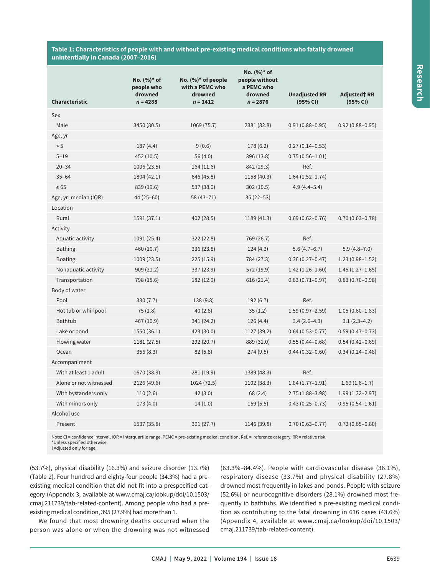#### **Table 1: Characteristics of people with and without pre-existing medical conditions who fatally drowned unintentially in Canada (2007–2016)**

| <b>Characteristic</b>  | No. (%)* of<br>people who<br>drowned<br>$n = 4288$ | No. $(\%)^*$ of people<br>with a PEMC who<br>drowned<br>$n = 1412$ | No. (%)* of<br>people without<br>a PEMC who<br>drowned<br>$n = 2876$ | <b>Unadjusted RR</b><br>(95% CI) | <b>Adjusted† RR</b><br>(95% CI) |
|------------------------|----------------------------------------------------|--------------------------------------------------------------------|----------------------------------------------------------------------|----------------------------------|---------------------------------|
| Sex                    |                                                    |                                                                    |                                                                      |                                  |                                 |
| Male                   | 3450 (80.5)                                        | 1069 (75.7)                                                        | 2381 (82.8)                                                          | $0.91(0.88 - 0.95)$              | $0.92(0.88 - 0.95)$             |
| Age, yr                |                                                    |                                                                    |                                                                      |                                  |                                 |
| < 5                    | 187(4.4)                                           | 9(0.6)                                                             | 178 (6.2)                                                            | $0.27(0.14 - 0.53)$              |                                 |
| $5 - 19$               | 452 (10.5)                                         | 56 (4.0)                                                           | 396 (13.8)                                                           | $0.75(0.56 - 1.01)$              |                                 |
| $20 - 34$              | 1006 (23.5)                                        | 164(11.6)                                                          | 842 (29.3)                                                           | Ref.                             |                                 |
| $35 - 64$              | 1804 (42.1)                                        | 646 (45.8)                                                         | 1158 (40.3)                                                          | $1.64(1.52 - 1.74)$              |                                 |
| $\geq 65$              | 839 (19.6)                                         | 537 (38.0)                                                         | 302(10.5)                                                            | $4.9(4.4 - 5.4)$                 |                                 |
| Age, yr; median (IQR)  | 44 (25 - 60)                                       | 58 (43-71)                                                         | $35(22-53)$                                                          |                                  |                                 |
| Location               |                                                    |                                                                    |                                                                      |                                  |                                 |
| Rural                  | 1591 (37.1)                                        | 402 (28.5)                                                         | 1189 (41.3)                                                          | $0.69(0.62 - 0.76)$              | $0.70(0.63 - 0.78)$             |
| Activity               |                                                    |                                                                    |                                                                      |                                  |                                 |
| Aquatic activity       | 1091 (25.4)                                        | 322 (22.8)                                                         | 769 (26.7)                                                           | Ref.                             |                                 |
| <b>Bathing</b>         | 460 (10.7)                                         | 336 (23.8)                                                         | 124(4.3)                                                             | $5.6(4.7-6.7)$                   | $5.9(4.8 - 7.0)$                |
| <b>Boating</b>         | 1009 (23.5)                                        | 225(15.9)                                                          | 784 (27.3)                                                           | $0.36(0.27 - 0.47)$              | $1.23(0.98 - 1.52)$             |
| Nonaquatic activity    | 909(21.2)                                          | 337 (23.9)                                                         | 572 (19.9)                                                           | $1.42(1.26 - 1.60)$              | $1.45(1.27-1.65)$               |
| Transportation         | 798 (18.6)                                         | 182 (12.9)                                                         | 616 (21.4)                                                           | $0.83(0.71 - 0.97)$              | $0.83(0.70 - 0.98)$             |
| Body of water          |                                                    |                                                                    |                                                                      |                                  |                                 |
| Pool                   | 330(7.7)                                           | 138 (9.8)                                                          | 192(6.7)                                                             | Ref.                             |                                 |
| Hot tub or whirlpool   | 75(1.8)                                            | 40(2.8)                                                            | 35(1.2)                                                              | $1.59(0.97 - 2.59)$              | $1.05(0.60 - 1.83)$             |
| <b>Bathtub</b>         | 467 (10.9)                                         | 341 (24.2)                                                         | 126 (4.4)                                                            | $3.4(2.6-4.3)$                   | $3.1(2.3-4.2)$                  |
| Lake or pond           | 1550 (36.1)                                        | 423 (30.0)                                                         | 1127 (39.2)                                                          | $0.64(0.53 - 0.77)$              | $0.59(0.47 - 0.73)$             |
| Flowing water          | 1181 (27.5)                                        | 292 (20.7)                                                         | 889 (31.0)                                                           | $0.55(0.44 - 0.68)$              | $0.54(0.42 - 0.69)$             |
| Ocean                  | 356(8.3)                                           | 82(5.8)                                                            | 274(9.5)                                                             | $0.44(0.32 - 0.60)$              | $0.34(0.24 - 0.48)$             |
| Accompaniment          |                                                    |                                                                    |                                                                      |                                  |                                 |
| With at least 1 adult  | 1670 (38.9)                                        | 281 (19.9)                                                         | 1389 (48.3)                                                          | Ref.                             |                                 |
| Alone or not witnessed | 2126 (49.6)                                        | 1024 (72.5)                                                        | 1102 (38.3)                                                          | $1.84(1.77-1.91)$                | $1.69(1.6-1.7)$                 |
| With bystanders only   | 110(2.6)                                           | 42(3.0)                                                            | 68(2.4)                                                              | $2.75(1.88 - 3.98)$              | $1.99(1.32 - 2.97)$             |
| With minors only       | 173 (4.0)                                          | 14(1.0)                                                            | 159(5.5)                                                             | $0.43(0.25 - 0.73)$              | $0.95(0.54 - 1.61)$             |
| Alcohol use            |                                                    |                                                                    |                                                                      |                                  |                                 |
| Present                | 1537 (35.8)                                        | 391 (27.7)                                                         | 1146 (39.8)                                                          | $0.70(0.63 - 0.77)$              | $0.72(0.65 - 0.80)$             |
|                        |                                                    |                                                                    |                                                                      |                                  |                                 |

Note: CI = confidence interval, IQR = interquartile range, PEMC = pre-existing medical condition, Ref. = reference category, RR = relative risk. \*Unless specified otherwise.

†Adjusted only for age.

(53.7%), physical disability (16.3%) and seizure disorder (13.7%) (Table 2). Four hundred and eighty-four people (34.3%) had a preexisting medical condition that did not fit into a prespecified category (Appendix 3, available at www.cmaj.ca/lookup/doi/10.1503/ cmaj.211739/tab-related-content). Among people who had a preexisting medical condition, 395 (27.9%) had more than 1.

We found that most drowning deaths occurred when the person was alone or when the drowning was not witnessed

(63.3%–84.4%). People with cardiovascular disease (36.1%), respiratory disease (33.7%) and physical disability (27.8%) drowned most frequently in lakes and ponds. People with seizure (52.6%) or neurocognitive disorders (28.1%) drowned most frequently in bathtubs. We identified a pre-existing medical condition as contributing to the fatal drowning in 616 cases (43.6%) (Appendix 4, available at www.cmaj.ca/lookup/doi/10.1503/ cmaj.211739/tab-related-content).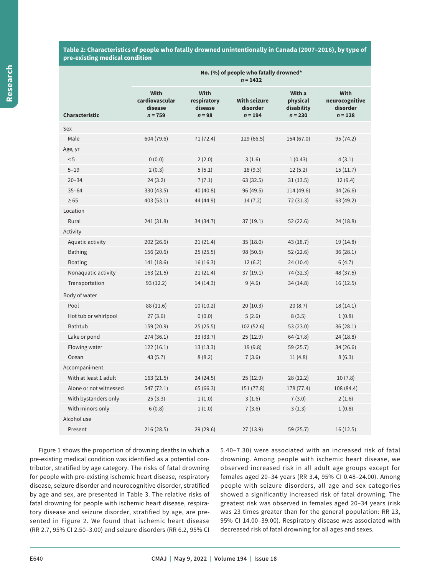**Table 2: Characteristics of people who fatally drowned unintentionally in Canada (2007–2016), by type of pre-existing medical condition**

|                        | No. (%) of people who fatally drowned*<br>$n = 1412$  |                                                   |                                              |                                               |                                                        |  |
|------------------------|-------------------------------------------------------|---------------------------------------------------|----------------------------------------------|-----------------------------------------------|--------------------------------------------------------|--|
| <b>Characteristic</b>  | <b>With</b><br>cardiovascular<br>disease<br>$n = 759$ | <b>With</b><br>respiratory<br>disease<br>$n = 98$ | <b>With seizure</b><br>disorder<br>$n = 194$ | With a<br>physical<br>disability<br>$n = 230$ | <b>With</b><br>neurocognitive<br>disorder<br>$n = 128$ |  |
| Sex                    |                                                       |                                                   |                                              |                                               |                                                        |  |
| Male                   | 604 (79.6)                                            | 71 (72.4)                                         | 129 (66.5)                                   | 154 (67.0)                                    | 95 (74.2)                                              |  |
| Age, yr                |                                                       |                                                   |                                              |                                               |                                                        |  |
| < 5                    | 0(0.0)                                                | 2(2.0)                                            | 3(1.6)                                       | 1(0.43)                                       | 4(3.1)                                                 |  |
| $5 - 19$               | 2(0.3)                                                | 5(5.1)                                            | 18(9.3)                                      | 12(5.2)                                       | 15(11.7)                                               |  |
| $20 - 34$              | 24(3.2)                                               | 7(7.1)                                            | 63 (32.5)                                    | 31(13.5)                                      | 12(9.4)                                                |  |
| $35 - 64$              | 330 (43.5)                                            | 40 (40.8)                                         | 96 (49.5)                                    | 114 (49.6)                                    | 34 (26.6)                                              |  |
| $\geq 65$              | 403 (53.1)                                            | 44 (44.9)                                         | 14(7.2)                                      | 72 (31.3)                                     | 63 (49.2)                                              |  |
| Location               |                                                       |                                                   |                                              |                                               |                                                        |  |
| Rural                  | 241 (31.8)                                            | 34 (34.7)                                         | 37(19.1)                                     | 52(22.6)                                      | 24 (18.8)                                              |  |
| Activity               |                                                       |                                                   |                                              |                                               |                                                        |  |
| Aquatic activity       | 202 (26.6)                                            | 21(21.4)                                          | 35(18.0)                                     | 43 (18.7)                                     | 19 (14.8)                                              |  |
| <b>Bathing</b>         | 156 (20.6)                                            | 25(25.5)                                          | 98 (50.5)                                    | 52 (22.6)                                     | 36(28.1)                                               |  |
| <b>Boating</b>         | 141 (18.6)                                            | 16(16.3)                                          | 12(6.2)                                      | 24(10.4)                                      | 6(4.7)                                                 |  |
| Nonaquatic activity    | 163(21.5)                                             | 21(21.4)                                          | 37 (19.1)                                    | 74 (32.3)                                     | 48 (37.5)                                              |  |
| Transportation         | 93(12.2)                                              | 14 (14.3)                                         | 9(4.6)                                       | 34 (14.8)                                     | 16(12.5)                                               |  |
| Body of water          |                                                       |                                                   |                                              |                                               |                                                        |  |
| Pool                   | 88 (11.6)                                             | 10(10.2)                                          | 20(10.3)                                     | 20(8.7)                                       | 18(14.1)                                               |  |
| Hot tub or whirlpool   | 27(3.6)                                               | 0(0.0)                                            | 5(2.6)                                       | 8(3.5)                                        | 1(0.8)                                                 |  |
| <b>Bathtub</b>         | 159 (20.9)                                            | 25(25.5)                                          | 102 (52.6)                                   | 53 (23.0)                                     | 36 (28.1)                                              |  |
| Lake or pond           | 274 (36.1)                                            | 33 (33.7)                                         | 25 (12.9)                                    | 64 (27.8)                                     | 24 (18.8)                                              |  |
| Flowing water          | 122(16.1)                                             | 13(13.3)                                          | 19(9.8)                                      | 59 (25.7)                                     | 34 (26.6)                                              |  |
| Ocean                  | 43(5.7)                                               | 8(8.2)                                            | 7(3.6)                                       | 11(4.8)                                       | 8(6.3)                                                 |  |
| Accompaniment          |                                                       |                                                   |                                              |                                               |                                                        |  |
| With at least 1 adult  | 163(21.5)                                             | 24 (24.5)                                         | 25(12.9)                                     | 28(12.2)                                      | 10(7.8)                                                |  |
| Alone or not witnessed | 547 (72.1)                                            | 65(66.3)                                          | 151 (77.8)                                   | 178 (77.4)                                    | 108 (84.4)                                             |  |
| With bystanders only   | 25(3.3)                                               | 1(1.0)                                            | 3(1.6)                                       | 7(3.0)                                        | 2(1.6)                                                 |  |
| With minors only       | 6(0.8)                                                | 1(1.0)                                            | 7(3.6)                                       | 3(1.3)                                        | 1(0.8)                                                 |  |
| Alcohol use            |                                                       |                                                   |                                              |                                               |                                                        |  |
| Present                | 216(28.5)                                             | 29 (29.6)                                         | 27 (13.9)                                    | 59 (25.7)                                     | 16(12.5)                                               |  |

Figure 1 shows the proportion of drowning deaths in which a pre-existing medical condition was identified as a potential contributor, stratified by age category. The risks of fatal drowning for people with pre-existing ischemic heart disease, respiratory disease, seizure disorder and neurocognitive disorder, stratified by age and sex, are presented in Table 3. The relative risks of fatal drowning for people with ischemic heart disease, respiratory disease and seizure disorder, stratified by age, are presented in Figure 2. We found that ischemic heart disease (RR 2.7, 95% CI 2.50–3.00) and seizure disorders (RR 6.2, 95% CI 5.40–7.30) were associated with an increased risk of fatal drowning. Among people with ischemic heart disease, we observed increased risk in all adult age groups except for females aged 20–34 years (RR 3.4, 95% CI 0.48–24.00). Among people with seizure disorders, all age and sex categories showed a significantly increased risk of fatal drowning. The greatest risk was observed in females aged 20–34 years (risk was 23 times greater than for the general population: RR 23, 95% CI 14.00–39.00). Respiratory disease was associated with decreased risk of fatal drowning for all ages and sexes.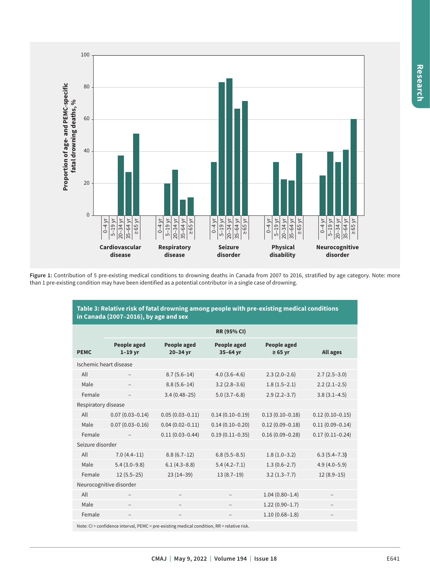

Figure 1: Contribution of 5 pre-existing medical conditions to drowning deaths in Canada from 2007 to 2016, stratified by age category. Note: more than 1 pre-existing condition may have been identified as a potential contributor in a single case of drowning.

| Table 3: Relative risk of fatal drowning among people with pre-existing medical conditions<br>in Canada (2007-2016), by age and sex |                                 |                         |                         |                             |                     |  |  |  |  |
|-------------------------------------------------------------------------------------------------------------------------------------|---------------------------------|-------------------------|-------------------------|-----------------------------|---------------------|--|--|--|--|
|                                                                                                                                     | <b>RR (95% CI)</b>              |                         |                         |                             |                     |  |  |  |  |
| <b>PEMC</b>                                                                                                                         | <b>People aged</b><br>$1-19$ yr | People aged<br>20-34 yr | People aged<br>35-64 yr | People aged<br>$\geq 65$ yr | <b>All ages</b>     |  |  |  |  |
| Ischemic heart disease                                                                                                              |                                 |                         |                         |                             |                     |  |  |  |  |
| All                                                                                                                                 |                                 | $8.7(5.6-14)$           | $4.0(3.6-4.6)$          | $2.3(2.0-2.6)$              | $2.7(2.5-3.0)$      |  |  |  |  |
| Male                                                                                                                                |                                 | $8.8(5.6-14)$           | $3.2(2.8-3.6)$          | $1.8(1.5-2.1)$              | $2.2(2.1-2.5)$      |  |  |  |  |
| Female                                                                                                                              |                                 | $3.4(0.48-25)$          | $5.0(3.7-6.8)$          | $2.9(2.2 - 3.7)$            | $3.8(3.1-4.5)$      |  |  |  |  |
| Respiratory disease                                                                                                                 |                                 |                         |                         |                             |                     |  |  |  |  |
| All                                                                                                                                 | $0.07(0.03 - 0.14)$             | $0.05(0.03 - 0.11)$     | $0.14(0.10 - 0.19)$     | $0.13(0.10 - 0.18)$         | $0.12(0.10 - 0.15)$ |  |  |  |  |
| Male                                                                                                                                | $0.07(0.03 - 0.16)$             | $0.04(0.02 - 0.11)$     | $0.14(0.10 - 0.20)$     | $0.12(0.09 - 0.18)$         | $0.11(0.09 - 0.14)$ |  |  |  |  |
| Female                                                                                                                              |                                 | $0.11(0.03 - 0.44)$     | $0.19(0.11 - 0.35)$     | $0.16(0.09 - 0.28)$         | $0.17(0.11 - 0.24)$ |  |  |  |  |
| Seizure disorder                                                                                                                    |                                 |                         |                         |                             |                     |  |  |  |  |
| All                                                                                                                                 | $7.0(4.4-11)$                   | $8.8(6.7-12)$           | $6.8(5.5 - 8.5)$        | $1.8(1.0-3.2)$              | $6.3(5.4 - 7.3)$    |  |  |  |  |
| Male                                                                                                                                | $5.4(3.0-9.8)$                  | $6.1(4.3-8.8)$          | $5.4(4.2 - 7.1)$        | $1.3(0.6-2.7)$              | $4.9(4.0 - 5.9)$    |  |  |  |  |
| Female                                                                                                                              | $12(5.5-25)$                    | $23(14-39)$             | $13(8.7-19)$            | $3.2(1.3 - 7.7)$            | $12(8.9-15)$        |  |  |  |  |
| Neurocognitive disorder                                                                                                             |                                 |                         |                         |                             |                     |  |  |  |  |
| All                                                                                                                                 |                                 |                         |                         | $1.04(0.80-1.4)$            |                     |  |  |  |  |
| Male                                                                                                                                |                                 |                         |                         | $1.22(0.90-1.7)$            |                     |  |  |  |  |
| Female                                                                                                                              | $\overline{\phantom{0}}$        | $\qquad \qquad -$       |                         | $1.10(0.68 - 1.8)$          |                     |  |  |  |  |
|                                                                                                                                     |                                 |                         |                         |                             |                     |  |  |  |  |

Note: CI = confidence interval, PEMC = pre-existing medical condition, RR = relative risk.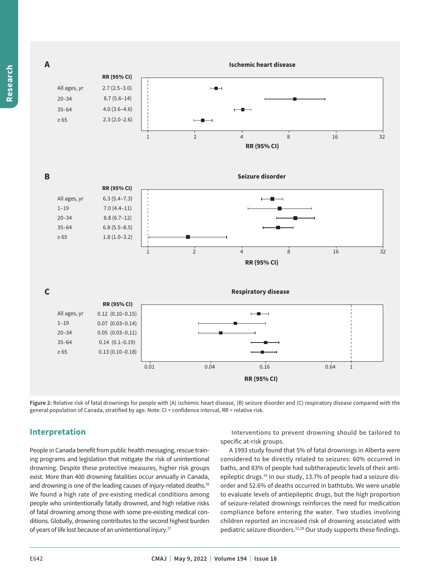

**Figure 2:** Relative risk of fatal drownings for people with (A) ischemic heart disease, (B) seizure disorder and (C) respiratory disease compared with the general population of Canada, stratified by age. Note: CI = confidence interval, RR = relative risk.

## **Interpretation**

People in Canada benefit from public health messaging, rescue training programs and legislation that mitigate the risk of unintentional drowning. Despite these protective measures, higher risk groups exist. More than 400 drowning fatalities occur annually in Canada, and drowning is one of the leading causes of injury-related deaths.<sup>26</sup> We found a high rate of pre-existing medical conditions among people who unintentionally fatally drowned, and high relative risks of fatal drowning among those with some pre-existing medical conditions. Globally, drowning contributes to the second highest burden of years of life lost because of an unintentional injury.27

 Interventions to prevent drowning should be tailored to specific at-risk groups.

A 1993 study found that 5% of fatal drownings in Alberta were considered to be directly related to seizures: 60% occurred in baths, and 83% of people had subtherapeutic levels of their antiepileptic drugs.<sup>16</sup> In our study, 13.7% of people had a seizure disorder and 52.6% of deaths occurred in bathtubs. We were unable to evaluate levels of antiepileptic drugs, but the high proportion of seizure-related drownings reinforces the need for medication compliance before entering the water. Two studies involving children reported an increased risk of drowning associated with pediatric seizure disorders.<sup>12,28</sup> Our study supports these findings.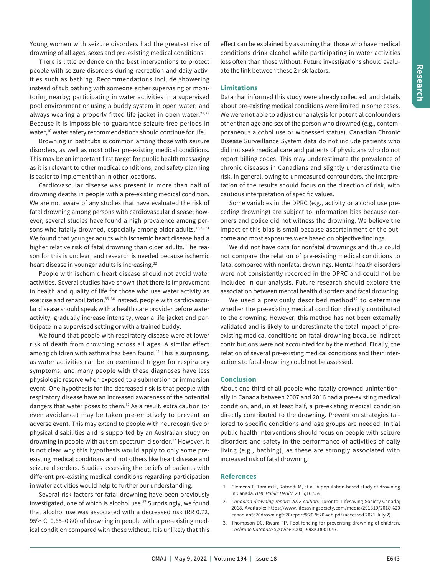Young women with seizure disorders had the greatest risk of drowning of all ages, sexes and pre-existing medical conditions.

There is little evidence on the best interventions to protect people with seizure disorders during recreation and daily activities such as bathing. Recommendations include showering instead of tub bathing with someone either supervising or monitoring nearby; participating in water activities in a supervised pool environment or using a buddy system in open water; and always wearing a properly fitted life jacket in open water.<sup>28,29</sup> Because it is impossible to guarantee seizure-free periods in water,<sup>16</sup> water safety recommendations should continue for life.

Drowning in bathtubs is common among those with seizure disorders, as well as most other pre-existing medical conditions. This may be an important first target for public health messaging as it is relevant to other medical conditions, and safety planning is easier to implement than in other locations.

Cardiovascular disease was present in more than half of drowning deaths in people with a pre-existing medical condition. We are not aware of any studies that have evaluated the risk of fatal drowning among persons with cardiovascular disease; however, several studies have found a high prevalence among persons who fatally drowned, especially among older adults.<sup>15,30,31</sup> We found that younger adults with ischemic heart disease had a higher relative risk of fatal drowning than older adults. The reason for this is unclear, and research is needed because ischemic heart disease in younger adults is increasing.32

People with ischemic heart disease should not avoid water activities. Several studies have shown that there is improvement in health and quality of life for those who use water activity as exercise and rehabilitation.<sup>33-36</sup> Instead, people with cardiovascular disease should speak with a health care provider before water activity, gradually increase intensity, wear a life jacket and participate in a supervised setting or with a trained buddy.

We found that people with respiratory disease were at lower risk of death from drowning across all ages. A similar effect among children with asthma has been found.<sup>12</sup> This is surprising, as water activities can be an exertional trigger for respiratory symptoms, and many people with these diagnoses have less physiologic reserve when exposed to a submersion or immersion event. One hypothesis for the decreased risk is that people with respiratory disease have an increased awareness of the potential dangers that water poses to them.12 As a result, extra caution (or even avoidance) may be taken pre-emptively to prevent an adverse event. This may extend to people with neurocognitive or physical disabilities and is supported by an Australian study on drowning in people with autism spectrum disorder.17 However, it is not clear why this hypothesis would apply to only some preexisting medical conditions and not others like heart disease and seizure disorders. Studies assessing the beliefs of patients with different pre-existing medical conditions regarding participation in water activities would help to further our understanding.

Several risk factors for fatal drowning have been previously investigated, one of which is alcohol use. $37$  Surprisingly, we found that alcohol use was associated with a decreased risk (RR 0.72, 95% CI 0.65–0.80) of drowning in people with a pre-existing medical condition compared with those without. It is unlikely that this effect can be explained by assuming that those who have medical conditions drink alcohol while participating in water activities less often than those without. Future investigations should evaluate the link between these 2 risk factors.

### **Limitations**

Data that informed this study were already collected, and details about pre-existing medical conditions were limited in some cases. We were not able to adjust our analysis for potential confounders other than age and sex of the person who drowned (e.g., contemporaneous alcohol use or witnessed status). Canadian Chronic Disease Surveillance System data do not include patients who did not seek medical care and patients of physicians who do not report billing codes. This may underestimate the prevalence of chronic diseases in Canadians and slightly underestimate the risk. In general, owing to unmeasured confounders, the interpretation of the results should focus on the direction of risk, with cautious interpretation of specific values.

Some variables in the DPRC (e.g., activity or alcohol use preceding drowning) are subject to information bias because coroners and police did not witness the drowning. We believe the impact of this bias is small because ascertainment of the outcome and most exposures were based on objective findings.

We did not have data for nonfatal drownings and thus could not compare the relation of pre-existing medical conditions to fatal compared with nonfatal drownings. Mental health disorders were not consistently recorded in the DPRC and could not be included in our analysis. Future research should explore the association between mental health disorders and fatal drowning.

We used a previously described method $12$  to determine whether the pre-existing medical condition directly contributed to the drowning. However, this method has not been externally validated and is likely to underestimate the total impact of preexisting medical conditions on fatal drowning because indirect contributions were not accounted for by the method. Finally, the relation of several pre-existing medical conditions and their interactions to fatal drowning could not be assessed.

#### **Conclusion**

About one-third of all people who fatally drowned unintentionally in Canada between 2007 and 2016 had a pre-existing medical condition, and, in at least half, a pre-existing medical condition directly contributed to the drowning. Prevention strategies tailored to specific conditions and age groups are needed. Initial public health interventions should focus on people with seizure disorders and safety in the performance of activities of daily living (e.g., bathing), as these are strongly associated with increased risk of fatal drowning.

#### **References**

- 1. Clemens T, Tamim H, Rotondi M, et al. A population-based study of drowning in Canada. *BMC Public Health* 2016;16:559.
- 2. *Canadian drowning report: 2018 edition*. Toronto: Lifesaving Society Canada; 2018. Available: https://www.lifesavingsociety.com/media/291819/2018%20 canadian%20drowning%20report%20-%20web.pdf (accessed 2021 July 2).
- 3. Thompson DC, Rivara FP. Pool fencing for preventing drowning of children. *Cochrane Database Syst Rev* 2000;1998:CD001047.